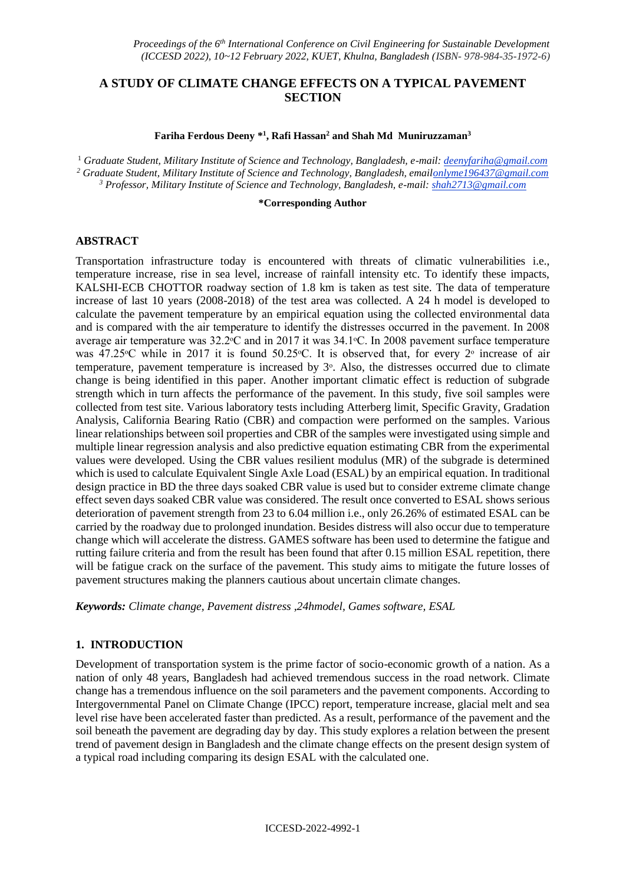## **A STUDY OF CLIMATE CHANGE EFFECTS ON A TYPICAL PAVEMENT SECTION**

#### **Fariha Ferdous Deeny \* 1 , Rafi Hassan<sup>2</sup> and Shah Md Muniruzzaman<sup>3</sup>**

<sup>1</sup> *Graduate Student, Military Institute of Science and Technology, Bangladesh, e-mail: deenyfariha@gmail.com* <sup>2</sup> Graduate Student, Military Institute of Science and Technology, Bangladesh, emailonlyme196437@gmail.com *<sup>3</sup> Professor, Military Institute of Science and Technology, Bangladesh, e-mail: shah2713@gmail.com*

#### **\*Corresponding Author**

#### **ABSTRACT**

Transportation infrastructure today is encountered with threats of climatic vulnerabilities i.e., temperature increase, rise in sea level, increase of rainfall intensity etc. To identify these impacts, KALSHI-ECB CHOTTOR roadway section of 1.8 km is taken as test site. The data of temperature increase of last 10 years (2008-2018) of the test area was collected. A 24 h model is developed to calculate the pavement temperature by an empirical equation using the collected environmental data and is compared with the air temperature to identify the distresses occurred in the pavement. In 2008 average air temperature was  $32.2^{\circ}$ C and in 2017 it was  $34.1^{\circ}$ C. In 2008 pavement surface temperature was 47.25 °C while in 2017 it is found 50.25 °C. It is observed that, for every 2<sup>°</sup> increase of air temperature, pavement temperature is increased by  $3^\circ$ . Also, the distresses occurred due to climate change is being identified in this paper. Another important climatic effect is reduction of subgrade strength which in turn affects the performance of the pavement. In this study, five soil samples were collected from test site. Various laboratory tests including Atterberg limit, Specific Gravity, Gradation Analysis, California Bearing Ratio (CBR) and compaction were performed on the samples. Various linear relationships between soil properties and CBR of the samples were investigated using simple and multiple linear regression analysis and also predictive equation estimating CBR from the experimental values were developed. Using the CBR values resilient modulus (MR) of the subgrade is determined which is used to calculate Equivalent Single Axle Load (ESAL) by an empirical equation. In traditional design practice in BD the three days soaked CBR value is used but to consider extreme climate change effect seven days soaked CBR value was considered. The result once converted to ESAL shows serious deterioration of pavement strength from 23 to 6.04 million i.e., only 26.26% of estimated ESAL can be carried by the roadway due to prolonged inundation. Besides distress will also occur due to temperature change which will accelerate the distress. GAMES software has been used to determine the fatigue and rutting failure criteria and from the result has been found that after 0.15 million ESAL repetition, there will be fatigue crack on the surface of the pavement. This study aims to mitigate the future losses of pavement structures making the planners cautious about uncertain climate changes.

*Keywords: Climate change, Pavement distress ,24hmodel, Games software, ESAL*

### **1. INTRODUCTION**

Development of transportation system is the prime factor of socio-economic growth of a nation. As a nation of only 48 years, Bangladesh had achieved tremendous success in the road network. Climate change has a tremendous influence on the soil parameters and the pavement components. According to Intergovernmental Panel on Climate Change (IPCC) report, temperature increase, glacial melt and sea level rise have been accelerated faster than predicted. As a result, performance of the pavement and the soil beneath the pavement are degrading day by day. This study explores a relation between the present trend of pavement design in Bangladesh and the climate change effects on the present design system of a typical road including comparing its design ESAL with the calculated one.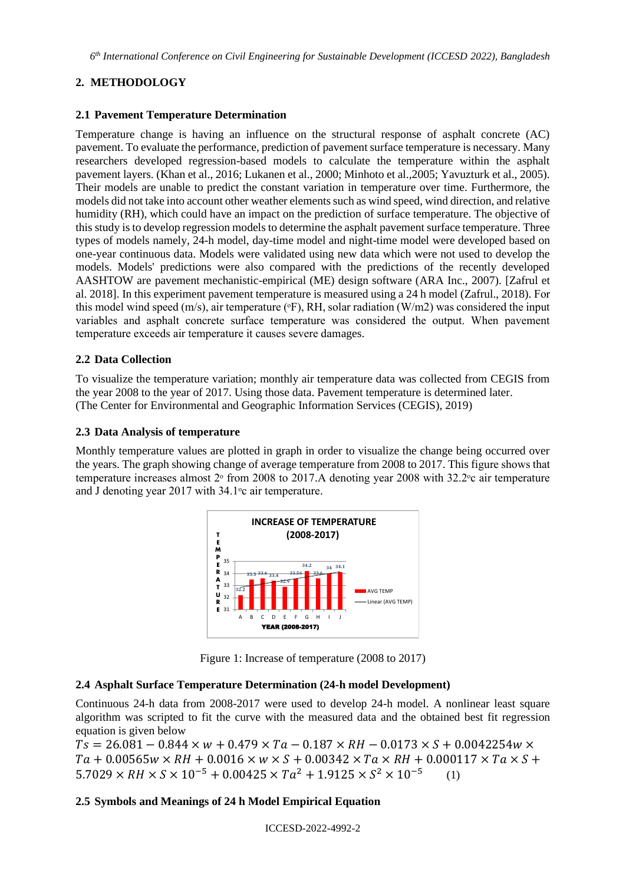# **2. METHODOLOGY**

### **2.1 Pavement Temperature Determination**

Temperature change is having an influence on the structural response of asphalt concrete (AC) pavement. To evaluate the performance, prediction of pavement surface temperature is necessary. Many researchers developed regression-based models to calculate the temperature within the asphalt pavement layers. (Khan et al., 2016; Lukanen et al., 2000; Minhoto et al.,2005; Yavuzturk et al., 2005). Their models are unable to predict the constant variation in temperature over time. Furthermore, the models did not take into account other weather elements such as wind speed, wind direction, and relative humidity (RH), which could have an impact on the prediction of surface temperature. The objective of this study is to develop regression models to determine the asphalt pavement surface temperature. Three types of models namely, 24-h model, day-time model and night-time model were developed based on one-year continuous data. Models were validated using new data which were not used to develop the models. Models' predictions were also compared with the predictions of the recently developed AASHTOW are pavement mechanistic-empirical (ME) design software (ARA Inc., 2007). [Zafrul et al. 2018]. In this experiment pavement temperature is measured using a 24 h model (Zafrul., 2018). For this model wind speed (m/s), air temperature ( ${}^{\circ}$ F), RH, solar radiation (W/m2) was considered the input variables and asphalt concrete surface temperature was considered the output. When pavement temperature exceeds air temperature it causes severe damages.

### **2.2 Data Collection**

To visualize the temperature variation; monthly air temperature data was collected from CEGIS from the year 2008 to the year of 2017. Using those data. Pavement temperature is determined later. (The Center for Environmental and Geographic Information Services (CEGIS), 2019)

### **2.3 Data Analysis of temperature**

Monthly temperature values are plotted in graph in order to visualize the change being occurred over the years. The graph showing change of average temperature from 2008 to 2017. This figure shows that temperature increases almost  $2^\circ$  from 2008 to 2017. A denoting year 2008 with 32.2 $\degree$ c air temperature and J denoting year 2017 with  $34.1\degree$ c air temperature.



Figure 1: Increase of temperature (2008 to 2017)

## **2.4 Asphalt Surface Temperature Determination (24-h model Development)**

Continuous 24-h data from 2008-2017 were used to develop 24-h model. A nonlinear least square algorithm was scripted to fit the curve with the measured data and the obtained best fit regression equation is given below

 $Ts = 26.081 - 0.844 \times w + 0.479 \times Ta - 0.187 \times RH - 0.0173 \times S + 0.0042254w \times$  $Ta + 0.00565w \times RH + 0.0016 \times w \times S + 0.00342 \times Ta \times RH + 0.000117 \times Ta \times S +$  $5.7029 \times RH \times S \times 10^{-5} + 0.00425 \times Ta^2 + 1.9125 \times S^2 \times 10^{-5}$ (1)

## **2.5 Symbols and Meanings of 24 h Model Empirical Equation**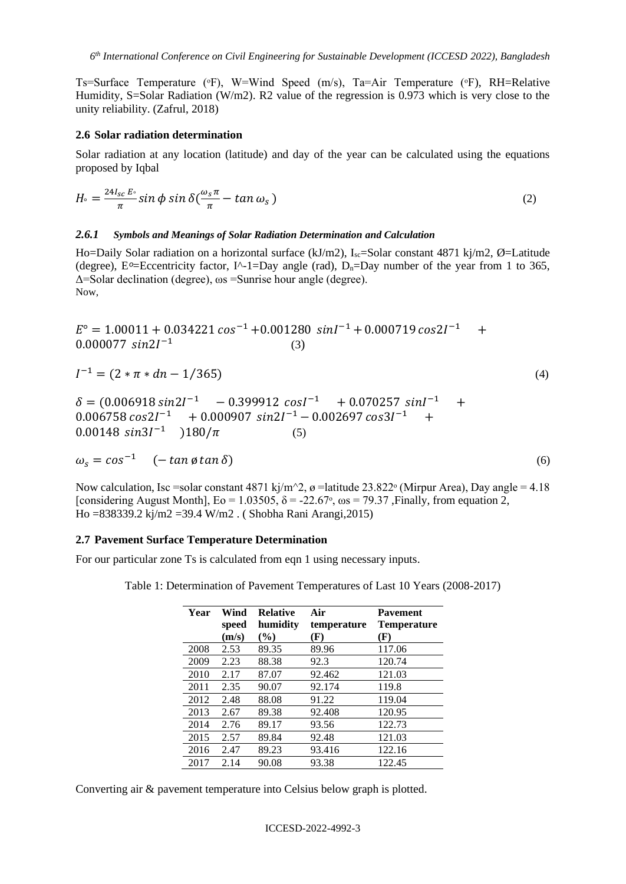Ts=Surface Temperature (°F), W=Wind Speed (m/s), Ta=Air Temperature (°F), RH=Relative Humidity, S=Solar Radiation (W/m2). R2 value of the regression is 0.973 which is very close to the unity reliability. (Zafrul, 2018)

#### **2.6 Solar radiation determination**

Solar radiation at any location (latitude) and day of the year can be calculated using the equations proposed by Iqbal

$$
H \circ = \frac{24I_{sc}E}{\pi} \sin \phi \sin \delta \left( \frac{\omega_s \pi}{\pi} - \tan \omega_s \right) \tag{2}
$$

#### *2.6.1 Symbols and Meanings of Solar Radiation Determination and Calculation*

Ho=Daily Solar radiation on a horizontal surface (kJ/m2),  $I_{sc}$ =Solar constant 4871 kj/m2, Ø=Latitude (degree), E<sup>o</sup>=Eccentricity factor, I<sup> $\land$ </sup>-1=Day angle (rad), D<sub>n</sub>=Day number of the year from 1 to 365, Δ=Solar declination (degree), ωs =Sunrise hour angle (degree). Now,

 $E^{\circ} = 1.00011 + 0.034221 \cos^{-1} + 0.001280 \sin^{-1} + 0.000719 \cos 21^{-1} +$  $0.000077 \, sin2I^{-1}$ (3)

$$
I^{-1} = (2 * \pi * d\eta - 1/365) \tag{4}
$$

 $\delta = (0.006918 \sin 2I^{-1} - 0.399912 \cos I^{-1} + 0.070257 \sin I^{-1} +$  $0.006758 \cos 2I^{-1}$  +  $0.000907 \sin 2I^{-1}$  -  $0.002697 \cos 3I^{-1}$  + 0.00148  $sin3I^{-1}$  )180/ $\pi$  (5)

 $\omega_s = \cos^{-1} \left( -\tan \phi \tan \delta \right)$  (6)

Now calculation, Isc =solar constant 4871 kj/m<sup> $\sim$ </sup>2,  $\sigma$  =latitude 23.822<sup>°</sup> (Mirpur Area), Day angle = 4.18 [considering August Month],  $E_0 = 1.03505$ ,  $\delta = -22.67$ <sup>o</sup>,  $\omega s = 79.37$ , Finally, from equation 2, Ho =838339.2 kj/m2 =39.4 W/m2 . ( Shobha Rani Arangi,2015)

### **2.7 Pavement Surface Temperature Determination**

For our particular zone Ts is calculated from eqn 1 using necessary inputs.

Table 1: Determination of Pavement Temperatures of Last 10 Years (2008-2017)

| Year | Wind<br>speed | <b>Relative</b><br>humidity | Air<br>temperature | <b>Pavement</b><br><b>Temperature</b> |
|------|---------------|-----------------------------|--------------------|---------------------------------------|
|      | (m/s)         | $(\%)$                      | (F)                | (F)                                   |
| 2008 | 2.53          | 89.35                       | 89.96              | 117.06                                |
| 2009 | 2.23          | 88.38                       | 92.3               | 120.74                                |
| 2010 | 2.17          | 87.07                       | 92.462             | 121.03                                |
| 2011 | 2.35          | 90.07                       | 92.174             | 119.8                                 |
| 2012 | 2.48          | 88.08                       | 91.22              | 119.04                                |
| 2013 | 2.67          | 89.38                       | 92.408             | 120.95                                |
| 2014 | 2.76          | 89.17                       | 93.56              | 122.73                                |
| 2015 | 2.57          | 89.84                       | 92.48              | 121.03                                |
| 2016 | 2.47          | 89.23                       | 93.416             | 122.16                                |
| 2017 | 2.14          | 90.08                       | 93.38              | 122.45                                |

Converting air & pavement temperature into Celsius below graph is plotted.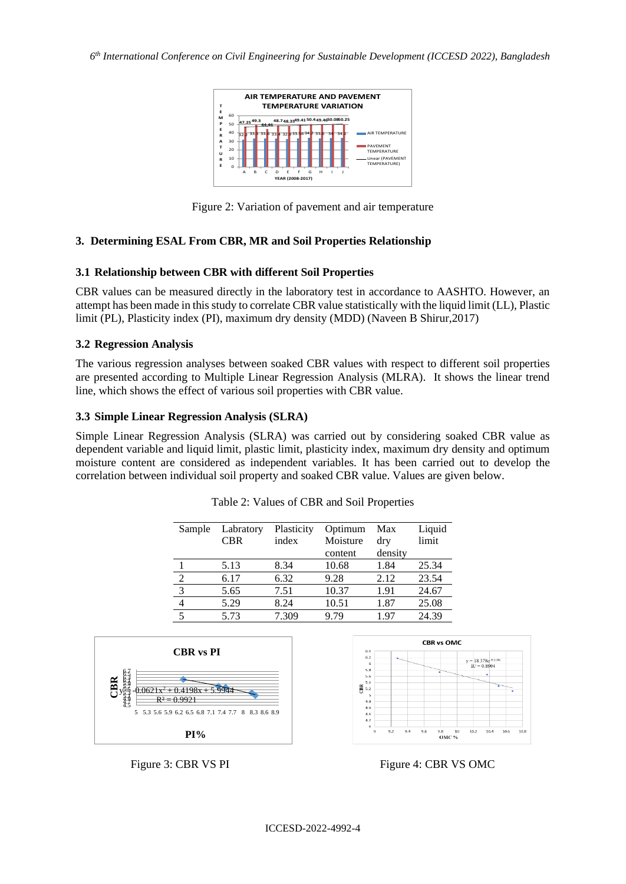

Figure 2: Variation of pavement and air temperature

### **3. Determining ESAL From CBR, MR and Soil Properties Relationship**

### **3.1 Relationship between CBR with different Soil Properties**

CBR values can be measured directly in the laboratory test in accordance to AASHTO. However, an attempt has been made in thisstudy to correlate CBR value statistically with the liquid limit (LL), Plastic limit (PL), Plasticity index (PI), maximum dry density (MDD) (Naveen B Shirur,2017)

### **3.2 Regression Analysis**

The various regression analyses between soaked CBR values with respect to different soil properties are presented according to Multiple Linear Regression Analysis (MLRA). It shows the linear trend line, which shows the effect of various soil properties with CBR value.

### **3.3 Simple Linear Regression Analysis (SLRA)**

Simple Linear Regression Analysis (SLRA) was carried out by considering soaked CBR value as dependent variable and liquid limit, plastic limit, plasticity index, maximum dry density and optimum moisture content are considered as independent variables. It has been carried out to develop the correlation between individual soil property and soaked CBR value. Values are given below.

| Sample         | Labratory<br><b>CBR</b> | Plasticity<br>index | Optimum<br>Moisture | Max<br>dry | Liquid<br>limit |
|----------------|-------------------------|---------------------|---------------------|------------|-----------------|
|                |                         |                     | content             | density    |                 |
|                | 5.13                    | 8.34                | 10.68               | 1.84       | 25.34           |
| $\mathfrak{D}$ | 6.17                    | 6.32                | 9.28                | 2.12       | 23.54           |
| 3              | 5.65                    | 7.51                | 10.37               | 1.91       | 24.67           |
| $\overline{4}$ | 5.29                    | 8.24                | 10.51               | 1.87       | 25.08           |
| 5              | 5.73                    | 7.309               | 9.79                | 197        | 24.39           |

Table 2: Values of CBR and Soil Properties



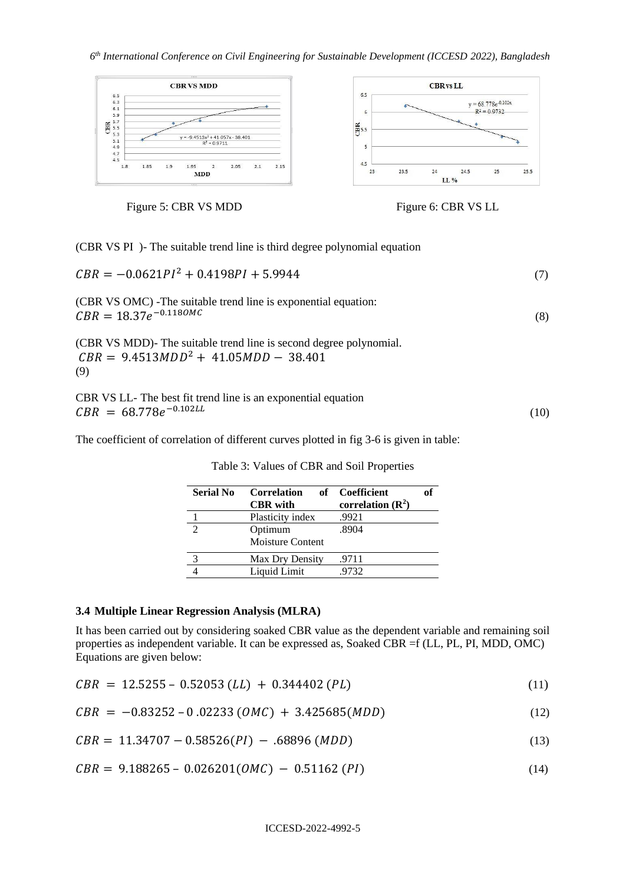

Figure 5: CBR VS MDD Figure 6: CBR VS LL



(CBR VS PI )- The suitable trend line is third degree polynomial equation

| $CBR = -0.0621PI^2 + 0.4198PI + 5.9944$                                                                              | (7)  |
|----------------------------------------------------------------------------------------------------------------------|------|
| (CBR VS OMC) -The suitable trend line is exponential equation:<br>$CBR = 18.37e^{-0.1180MC}$                         | (8)  |
| (CBR VS MDD)- The suitable trend line is second degree polynomial.<br>$CBR = 9.4513MDD^2 + 41.05MDD - 38.401$<br>(9) |      |
| CBR VS LL- The best fit trend line is an exponential equation<br>$CBR = 68.778e^{-0.102LL}$                          | (10) |

The coefficient of correlation of different curves plotted in fig 3-6 is given in table:

| <b>Serial No</b> | Correlation<br><b>CBR</b> with | of<br>of Coefficient<br>correlation $(R^2)$ |
|------------------|--------------------------------|---------------------------------------------|
|                  | Plasticity index               | .9921                                       |
| $\mathcal{D}$    | Optimum<br>Moisture Content    | .8904                                       |
|                  | Max Dry Density                | .9711                                       |
|                  | Liquid Limit                   | .9732                                       |

Table 3: Values of CBR and Soil Properties

#### **3.4 Multiple Linear Regression Analysis (MLRA)**

It has been carried out by considering soaked CBR value as the dependent variable and remaining soil properties as independent variable. It can be expressed as, Soaked CBR =f (LL, PL, PI, MDD, OMC) Equations are given below:

|  |  |  |  | $CBR = 12.5255 - 0.52053$ ( <i>LL</i> ) + 0.344402 ( <i>PL</i> ) |  |  |
|--|--|--|--|------------------------------------------------------------------|--|--|
|--|--|--|--|------------------------------------------------------------------|--|--|

$$
CBR = -0.83252 - 0.02233 (OMC) + 3.425685 (MDD)
$$
\n(12)

$$
CBR = 11.34707 - 0.58526(PI) - .68896(MDD)
$$
\n(13)

$$
CBR = 9.188265 - 0.026201(0MC) - 0.51162(PI)
$$
\n(14)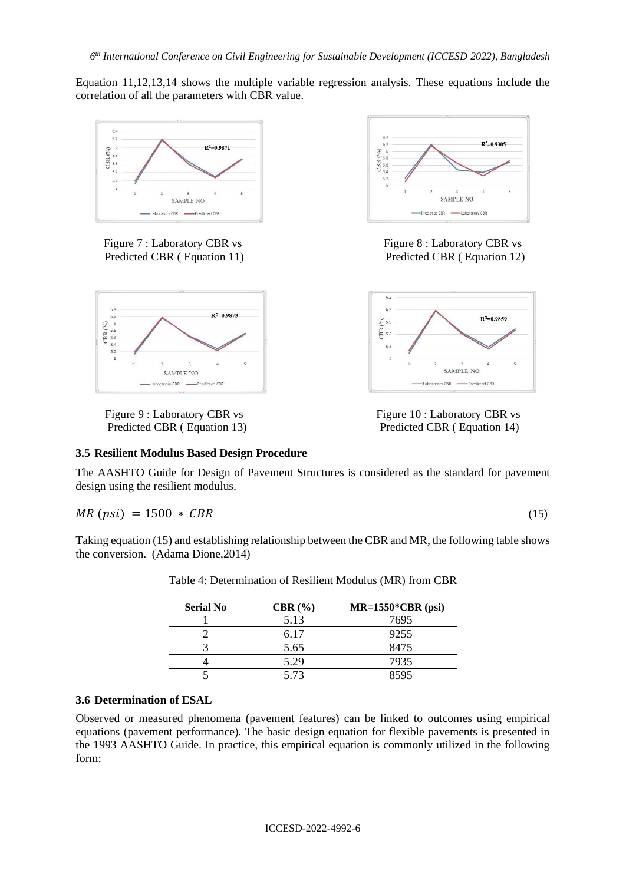Equation 11,12,13,14 shows the multiple variable regression analysis. These equations include the correlation of all the parameters with CBR value.



Figure 7 : Laboratory CBR vs Figure 8 : Laboratory CBR vs Predicted CBR ( Equation 11) Predicted CBR ( Equation 12)







Figure 9 : Laboratory CBR vs Figure 10 : Laboratory CBR vs Predicted CBR ( Equation 13) Predicted CBR ( Equation 14)

### **3.5 Resilient Modulus Based Design Procedure**

The AASHTO Guide for Design of Pavement Structures is considered as the standard for pavement design using the resilient modulus.

$$
MR (psi) = 1500 \times CBR \tag{15}
$$

Taking equation (15) and establishing relationship between the CBR and MR, the following table shows the conversion. (Adama Dione,2014)

| <b>Serial No</b> | CBR(%) | $MR=1550^*CBR$ (psi) |
|------------------|--------|----------------------|
|                  | 5.13   | 7695                 |
|                  | 6.17   | 9255                 |
|                  | 5.65   | 8475                 |
|                  | 5.29   | 7935                 |
|                  | 5.73   | 8595                 |

Table 4: Determination of Resilient Modulus (MR) from CBR

## **3.6 Determination of ESAL**

Observed or measured phenomena (pavement features) can be linked to outcomes using empirical equations (pavement performance). The basic design equation for flexible pavements is presented in the 1993 AASHTO Guide. In practice, this empirical equation is commonly utilized in the following form: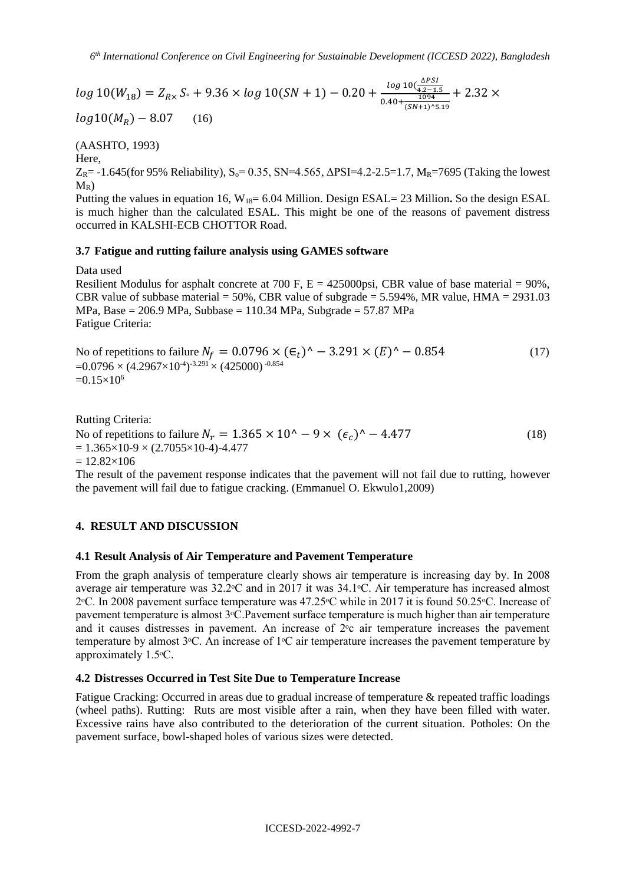$log 10(W_{18}) = Z_{Rx} S_{\circ} + 9.36 \times log 10(SN + 1) - 0.20 + \frac{log 10(\frac{\Delta PSI}{4.2 - 1.6})}{0.40 + 1094}$ 4.2−1.5  $0.40+\frac{1094}{(SM+1)0}$  $(SN+1)^5.19$  $+ 2.32 \times$ 

 $log 10(M_R) - 8.07$  (16)

(AASHTO, 1993)

Here,

 $Z_{R}$ = -1.645(for 95% Reliability), S<sub>0</sub>= 0.35, SN=4.565,  $\Delta$ PSI=4.2-2.5=1.7, M<sub>R</sub>=7695 (Taking the lowest  $M_R$ )

Putting the values in equation 16, W18= 6.04 Million. Design ESAL= 23 Million**.** So the design ESAL is much higher than the calculated ESAL. This might be one of the reasons of pavement distress occurred in KALSHI-ECB CHOTTOR Road.

#### **3.7 Fatigue and rutting failure analysis using GAMES software**

Data used

Resilient Modulus for asphalt concrete at 700 F,  $E = 425000$ psi, CBR value of base material = 90%, CBR value of subbase material =  $50\%$ , CBR value of subgrade =  $5.594\%$ , MR value, HMA =  $2931.03$ MPa, Base =  $206.9$  MPa, Subbase =  $110.34$  MPa, Subgrade =  $57.87$  MPa Fatigue Criteria:

No of repetitions to failure  $N_f = 0.0796 \times (\epsilon_t)^{\hat{ }} - 3.291 \times (E)^{\hat{ }} - 0.854$  (17)  $=$ 0.0796  $\times$  (4.2967 $\times$ 10<sup>-4</sup>)<sup>-3.291</sup>  $\times$  (425000) <sup>-0.854</sup>  $=0.15\times10^{6}$ 

Rutting Criteria:

No of repetitions to failure  $N_r = 1.365 \times 10^{\circ} - 9 \times (\epsilon_r)^{\circ} - 4.477$  (18)  $= 1.365 \times 10-9 \times (2.7055 \times 10-4) - 4.477$ 

 $= 12.82 \times 106$ 

The result of the pavement response indicates that the pavement will not fail due to rutting, however the pavement will fail due to fatigue cracking. (Emmanuel O. Ekwulo1,2009)

### **4. RESULT AND DISCUSSION**

### **4.1 Result Analysis of Air Temperature and Pavement Temperature**

From the graph analysis of temperature clearly shows air temperature is increasing day by. In 2008 average air temperature was  $32.2$ °C and in 2017 it was  $34.1$ °C. Air temperature has increased almost 2 $°C$ . In 2008 pavement surface temperature was 47.25 $°C$  while in 2017 it is found 50.25 $°C$ . Increase of pavement temperature is almost 3ᵒC.Pavement surface temperature is much higher than air temperature and it causes distresses in pavement. An increase of  $2^\circ$ c air temperature increases the pavement temperature by almost  $3\degree$ C. An increase of  $1\degree$ C air temperature increases the pavement temperature by approximately 1.5ᵒC.

### **4.2 Distresses Occurred in Test Site Due to Temperature Increase**

Fatigue Cracking: Occurred in areas due to gradual increase of temperature & repeated traffic loadings (wheel paths). Rutting: Ruts are most visible after a rain, when they have been filled with water. Excessive rains have also contributed to the deterioration of the current situation. Potholes: On the pavement surface, bowl-shaped holes of various sizes were detected.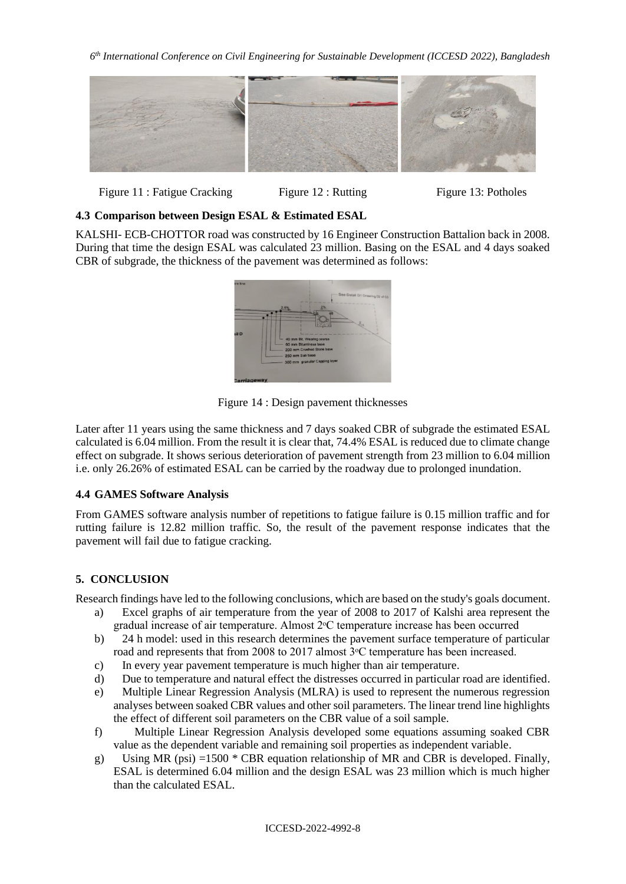

Figure 11 : Fatigue Cracking Figure 12 : Rutting Figure 13: Potholes

### **4.3 Comparison between Design ESAL & Estimated ESAL**

KALSHI- ECB-CHOTTOR road was constructed by 16 Engineer Construction Battalion back in 2008. During that time the design ESAL was calculated 23 million. Basing on the ESAL and 4 days soaked CBR of subgrade, the thickness of the pavement was determined as follows:



Figure 14 : Design pavement thicknesses

Later after 11 years using the same thickness and 7 days soaked CBR of subgrade the estimated ESAL calculated is 6.04 million. From the result it is clear that, 74.4% ESAL is reduced due to climate change effect on subgrade. It shows serious deterioration of pavement strength from 23 million to 6.04 million i.e. only 26.26% of estimated ESAL can be carried by the roadway due to prolonged inundation.

## **4.4 GAMES Software Analysis**

From GAMES software analysis number of repetitions to fatigue failure is 0.15 million traffic and for rutting failure is 12.82 million traffic. So, the result of the pavement response indicates that the pavement will fail due to fatigue cracking.

## **5. CONCLUSION**

Research findings have led to the following conclusions, which are based on the study's goals document.

- a) Excel graphs of air temperature from the year of 2008 to 2017 of Kalshi area represent the gradual increase of air temperature. Almost 2ᵒC temperature increase has been occurred
- b) 24 h model: used in this research determines the pavement surface temperature of particular road and represents that from 2008 to 2017 almost 3<sup>o</sup>C temperature has been increased.
- c) In every year pavement temperature is much higher than air temperature.
- d) Due to temperature and natural effect the distresses occurred in particular road are identified.
- e) Multiple Linear Regression Analysis (MLRA) is used to represent the numerous regression analyses between soaked CBR values and other soil parameters. The linear trend line highlights the effect of different soil parameters on the CBR value of a soil sample.
- f) Multiple Linear Regression Analysis developed some equations assuming soaked CBR value as the dependent variable and remaining soil properties as independent variable.
- g) Using MR (psi) =1500  $*$  CBR equation relationship of MR and CBR is developed. Finally, ESAL is determined 6.04 million and the design ESAL was 23 million which is much higher than the calculated ESAL.